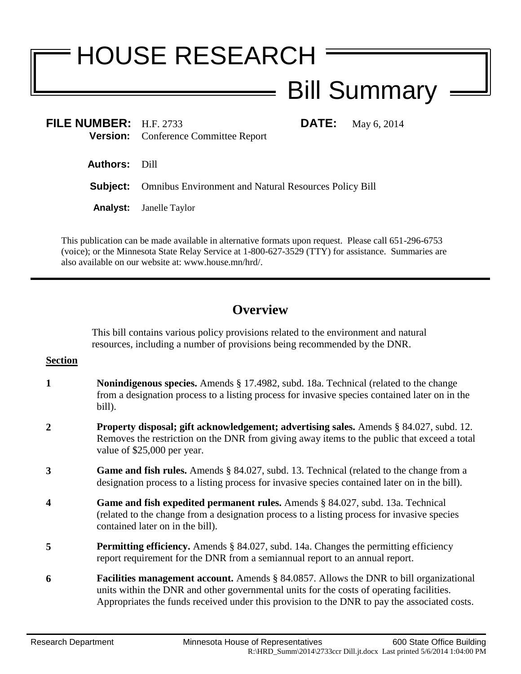# HOUSE RESEARCH

## Bill Summary

**FILE NUMBER:** H.F. 2733 **DATE:** May 6, 2014 **Version:** Conference Committee Report

**Authors:** Dill

**Subject:** Omnibus Environment and Natural Resources Policy Bill

**Analyst:** Janelle Taylor

This publication can be made available in alternative formats upon request. Please call 651-296-6753 (voice); or the Minnesota State Relay Service at 1-800-627-3529 (TTY) for assistance. Summaries are also available on our website at: www.house.mn/hrd/.

### **Overview**

This bill contains various policy provisions related to the environment and natural resources, including a number of provisions being recommended by the DNR.

- **1 Nonindigenous species.** Amends § 17.4982, subd. 18a. Technical (related to the change from a designation process to a listing process for invasive species contained later on in the bill).
- **2 Property disposal; gift acknowledgement; advertising sales.** Amends § 84.027, subd. 12. Removes the restriction on the DNR from giving away items to the public that exceed a total value of \$25,000 per year.
- **3 Game and fish rules.** Amends § 84.027, subd. 13. Technical (related to the change from a designation process to a listing process for invasive species contained later on in the bill).
- **4 Game and fish expedited permanent rules.** Amends § 84.027, subd. 13a. Technical (related to the change from a designation process to a listing process for invasive species contained later on in the bill).
- **5 Permitting efficiency.** Amends § 84.027, subd. 14a. Changes the permitting efficiency report requirement for the DNR from a semiannual report to an annual report.
- **6 Facilities management account.** Amends § 84.0857. Allows the DNR to bill organizational units within the DNR and other governmental units for the costs of operating facilities. Appropriates the funds received under this provision to the DNR to pay the associated costs.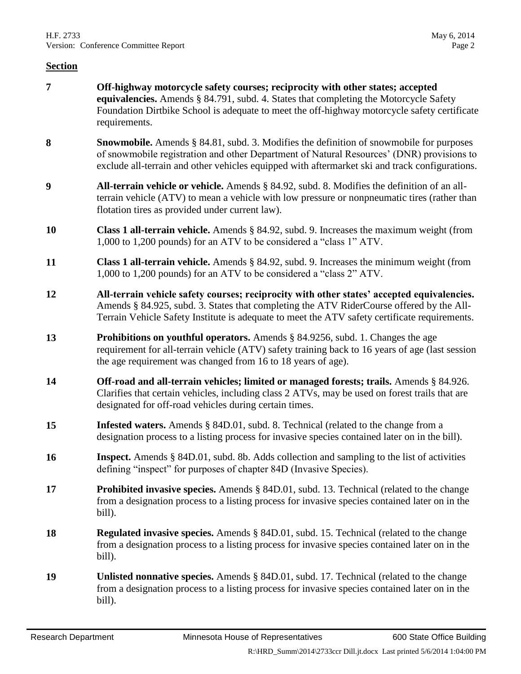- **7 Off-highway motorcycle safety courses; reciprocity with other states; accepted equivalencies.** Amends § 84.791, subd. 4. States that completing the Motorcycle Safety Foundation Dirtbike School is adequate to meet the off-highway motorcycle safety certificate requirements.
- **8 Snowmobile.** Amends § 84.81, subd. 3. Modifies the definition of snowmobile for purposes of snowmobile registration and other Department of Natural Resources' (DNR) provisions to exclude all-terrain and other vehicles equipped with aftermarket ski and track configurations.
- **9 All-terrain vehicle or vehicle.** Amends § 84.92, subd. 8. Modifies the definition of an allterrain vehicle (ATV) to mean a vehicle with low pressure or nonpneumatic tires (rather than flotation tires as provided under current law).
- **10 Class 1 all-terrain vehicle.** Amends § 84.92, subd. 9. Increases the maximum weight (from 1,000 to 1,200 pounds) for an ATV to be considered a "class 1" ATV.
- **11 Class 1 all-terrain vehicle.** Amends § 84.92, subd. 9. Increases the minimum weight (from 1,000 to 1,200 pounds) for an ATV to be considered a "class 2" ATV.
- **12 All-terrain vehicle safety courses; reciprocity with other states' accepted equivalencies.** Amends § 84.925, subd. 3. States that completing the ATV RiderCourse offered by the All-Terrain Vehicle Safety Institute is adequate to meet the ATV safety certificate requirements.
- **13 Prohibitions on youthful operators.** Amends § 84.9256, subd. 1. Changes the age requirement for all-terrain vehicle (ATV) safety training back to 16 years of age (last session the age requirement was changed from 16 to 18 years of age).
- **14 Off-road and all-terrain vehicles; limited or managed forests; trails.** Amends § 84.926. Clarifies that certain vehicles, including class 2 ATVs, may be used on forest trails that are designated for off-road vehicles during certain times.
- **15 Infested waters.** Amends § 84D.01, subd. 8. Technical (related to the change from a designation process to a listing process for invasive species contained later on in the bill).
- **16 Inspect.** Amends § 84D.01, subd. 8b. Adds collection and sampling to the list of activities defining "inspect" for purposes of chapter 84D (Invasive Species).
- **17 Prohibited invasive species.** Amends § 84D.01, subd. 13. Technical (related to the change from a designation process to a listing process for invasive species contained later on in the bill).
- **18 Regulated invasive species.** Amends § 84D.01, subd. 15. Technical (related to the change from a designation process to a listing process for invasive species contained later on in the bill).
- **19 Unlisted nonnative species.** Amends § 84D.01, subd. 17. Technical (related to the change from a designation process to a listing process for invasive species contained later on in the bill).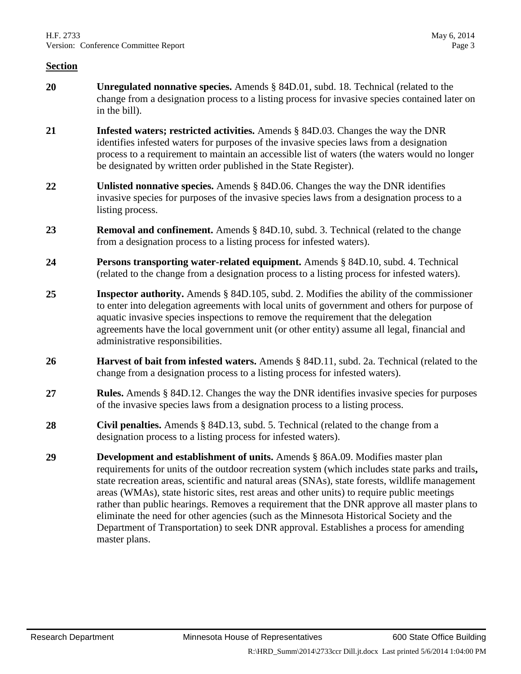- **20 Unregulated nonnative species.** Amends § 84D.01, subd. 18. Technical (related to the change from a designation process to a listing process for invasive species contained later on in the bill).
- **21 Infested waters; restricted activities.** Amends § 84D.03. Changes the way the DNR identifies infested waters for purposes of the invasive species laws from a designation process to a requirement to maintain an accessible list of waters (the waters would no longer be designated by written order published in the State Register).
- **22 Unlisted nonnative species.** Amends § 84D.06. Changes the way the DNR identifies invasive species for purposes of the invasive species laws from a designation process to a listing process.
- **23 Removal and confinement.** Amends § 84D.10, subd. 3. Technical (related to the change from a designation process to a listing process for infested waters).
- **24 Persons transporting water-related equipment.** Amends § 84D.10, subd. 4. Technical (related to the change from a designation process to a listing process for infested waters).
- **25 Inspector authority.** Amends § 84D.105, subd. 2. Modifies the ability of the commissioner to enter into delegation agreements with local units of government and others for purpose of aquatic invasive species inspections to remove the requirement that the delegation agreements have the local government unit (or other entity) assume all legal, financial and administrative responsibilities.
- **26 Harvest of bait from infested waters.** Amends § 84D.11, subd. 2a. Technical (related to the change from a designation process to a listing process for infested waters).
- **27 Rules.** Amends § 84D.12. Changes the way the DNR identifies invasive species for purposes of the invasive species laws from a designation process to a listing process.
- **28 Civil penalties.** Amends § 84D.13, subd. 5. Technical (related to the change from a designation process to a listing process for infested waters).
- **29 Development and establishment of units.** Amends § 86A.09. Modifies master plan requirements for units of the outdoor recreation system (which includes state parks and trails**,**  state recreation areas, scientific and natural areas (SNAs), state forests, wildlife management areas (WMAs), state historic sites, rest areas and other units) to require public meetings rather than public hearings. Removes a requirement that the DNR approve all master plans to eliminate the need for other agencies (such as the Minnesota Historical Society and the Department of Transportation) to seek DNR approval. Establishes a process for amending master plans.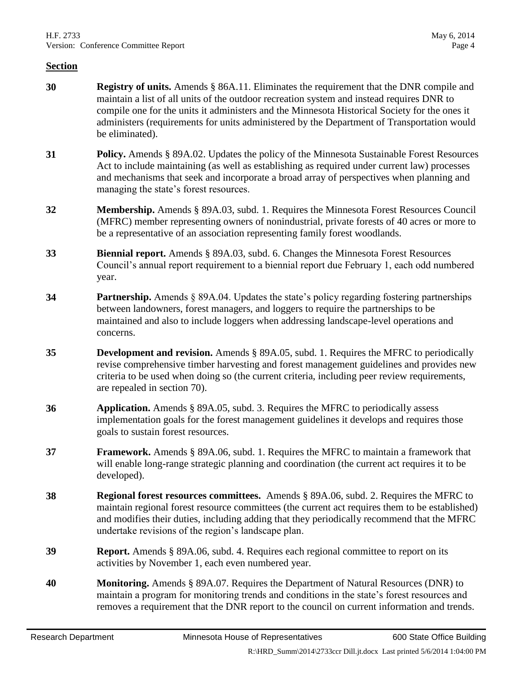- **30 Registry of units.** Amends § 86A.11. Eliminates the requirement that the DNR compile and maintain a list of all units of the outdoor recreation system and instead requires DNR to compile one for the units it administers and the Minnesota Historical Society for the ones it administers (requirements for units administered by the Department of Transportation would be eliminated).
- **31 Policy.** Amends § 89A.02. Updates the policy of the Minnesota Sustainable Forest Resources Act to include maintaining (as well as establishing as required under current law) processes and mechanisms that seek and incorporate a broad array of perspectives when planning and managing the state's forest resources.
- **32 Membership.** Amends § 89A.03, subd. 1. Requires the Minnesota Forest Resources Council (MFRC) member representing owners of nonindustrial, private forests of 40 acres or more to be a representative of an association representing family forest woodlands.
- **33 Biennial report.** Amends § 89A.03, subd. 6. Changes the Minnesota Forest Resources Council's annual report requirement to a biennial report due February 1, each odd numbered year.
- **34 Partnership.** Amends § 89A.04. Updates the state's policy regarding fostering partnerships between landowners, forest managers, and loggers to require the partnerships to be maintained and also to include loggers when addressing landscape-level operations and concerns.
- **35 Development and revision.** Amends § 89A.05, subd. 1. Requires the MFRC to periodically revise comprehensive timber harvesting and forest management guidelines and provides new criteria to be used when doing so (the current criteria, including peer review requirements, are repealed in section 70).
- **36 Application.** Amends § 89A.05, subd. 3. Requires the MFRC to periodically assess implementation goals for the forest management guidelines it develops and requires those goals to sustain forest resources.
- **37 Framework.** Amends § 89A.06, subd. 1. Requires the MFRC to maintain a framework that will enable long-range strategic planning and coordination (the current act requires it to be developed).
- **38 Regional forest resources committees.** Amends § 89A.06, subd. 2. Requires the MFRC to maintain regional forest resource committees (the current act requires them to be established) and modifies their duties, including adding that they periodically recommend that the MFRC undertake revisions of the region's landscape plan.
- **39 Report.** Amends § 89A.06, subd. 4. Requires each regional committee to report on its activities by November 1, each even numbered year.
- **40 Monitoring.** Amends § 89A.07. Requires the Department of Natural Resources (DNR) to maintain a program for monitoring trends and conditions in the state's forest resources and removes a requirement that the DNR report to the council on current information and trends.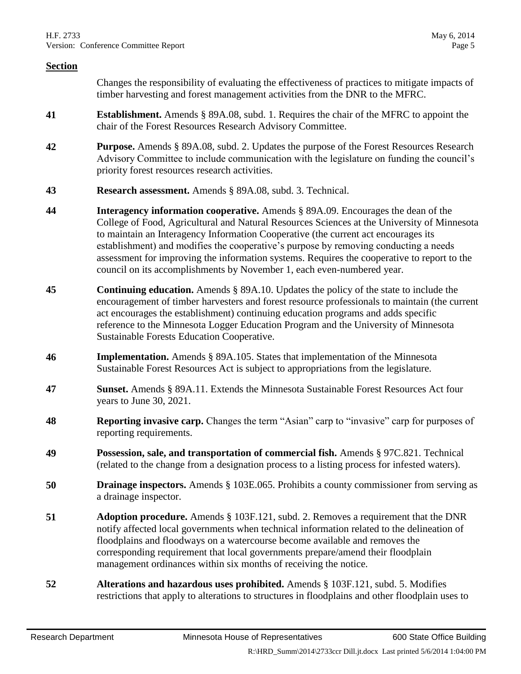Changes the responsibility of evaluating the effectiveness of practices to mitigate impacts of timber harvesting and forest management activities from the DNR to the MFRC.

- **41 Establishment.** Amends § 89A.08, subd. 1. Requires the chair of the MFRC to appoint the chair of the Forest Resources Research Advisory Committee.
- **42 Purpose.** Amends § 89A.08, subd. 2. Updates the purpose of the Forest Resources Research Advisory Committee to include communication with the legislature on funding the council's priority forest resources research activities.
- **43 Research assessment.** Amends § 89A.08, subd. 3. Technical.
- **44 Interagency information cooperative.** Amends § 89A.09. Encourages the dean of the College of Food, Agricultural and Natural Resources Sciences at the University of Minnesota to maintain an Interagency Information Cooperative (the current act encourages its establishment) and modifies the cooperative's purpose by removing conducting a needs assessment for improving the information systems. Requires the cooperative to report to the council on its accomplishments by November 1, each even-numbered year.
- **45 Continuing education.** Amends § 89A.10. Updates the policy of the state to include the encouragement of timber harvesters and forest resource professionals to maintain (the current act encourages the establishment) continuing education programs and adds specific reference to the Minnesota Logger Education Program and the University of Minnesota Sustainable Forests Education Cooperative.
- **46 Implementation.** Amends § 89A.105. States that implementation of the Minnesota Sustainable Forest Resources Act is subject to appropriations from the legislature.
- **47 Sunset.** Amends § 89A.11. Extends the Minnesota Sustainable Forest Resources Act four years to June 30, 2021.
- **48 Reporting invasive carp.** Changes the term "Asian" carp to "invasive" carp for purposes of reporting requirements.
- **49 Possession, sale, and transportation of commercial fish.** Amends § 97C.821. Technical (related to the change from a designation process to a listing process for infested waters).
- **50 Drainage inspectors.** Amends § 103E.065. Prohibits a county commissioner from serving as a drainage inspector.
- **51 Adoption procedure.** Amends § 103F.121, subd. 2. Removes a requirement that the DNR notify affected local governments when technical information related to the delineation of floodplains and floodways on a watercourse become available and removes the corresponding requirement that local governments prepare/amend their floodplain management ordinances within six months of receiving the notice.
- **52 Alterations and hazardous uses prohibited.** Amends § 103F.121, subd. 5. Modifies restrictions that apply to alterations to structures in floodplains and other floodplain uses to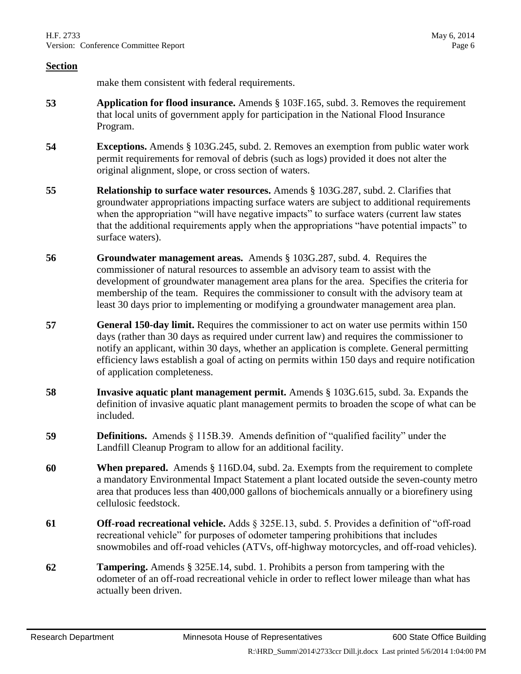make them consistent with federal requirements.

- **53 Application for flood insurance.** Amends § 103F.165, subd. 3. Removes the requirement that local units of government apply for participation in the National Flood Insurance Program.
- **54 Exceptions.** Amends § 103G.245, subd. 2. Removes an exemption from public water work permit requirements for removal of debris (such as logs) provided it does not alter the original alignment, slope, or cross section of waters.
- **55 Relationship to surface water resources.** Amends § 103G.287, subd. 2. Clarifies that groundwater appropriations impacting surface waters are subject to additional requirements when the appropriation "will have negative impacts" to surface waters (current law states that the additional requirements apply when the appropriations "have potential impacts" to surface waters).
- **56 Groundwater management areas.** Amends § 103G.287, subd. 4. Requires the commissioner of natural resources to assemble an advisory team to assist with the development of groundwater management area plans for the area. Specifies the criteria for membership of the team. Requires the commissioner to consult with the advisory team at least 30 days prior to implementing or modifying a groundwater management area plan.
- **57 General 150-day limit.** Requires the commissioner to act on water use permits within 150 days (rather than 30 days as required under current law) and requires the commissioner to notify an applicant, within 30 days, whether an application is complete. General permitting efficiency laws establish a goal of acting on permits within 150 days and require notification of application completeness.
- **58 Invasive aquatic plant management permit.** Amends § 103G.615, subd. 3a. Expands the definition of invasive aquatic plant management permits to broaden the scope of what can be included.
- **59 Definitions.** Amends § 115B.39. Amends definition of "qualified facility" under the Landfill Cleanup Program to allow for an additional facility.
- **60 When prepared.** Amends § 116D.04, subd. 2a. Exempts from the requirement to complete a mandatory Environmental Impact Statement a plant located outside the seven-county metro area that produces less than 400,000 gallons of biochemicals annually or a biorefinery using cellulosic feedstock.
- **61 Off-road recreational vehicle.** Adds § 325E.13, subd. 5. Provides a definition of "off-road recreational vehicle" for purposes of odometer tampering prohibitions that includes snowmobiles and off-road vehicles (ATVs, off-highway motorcycles, and off-road vehicles).
- **62 Tampering.** Amends § 325E.14, subd. 1. Prohibits a person from tampering with the odometer of an off-road recreational vehicle in order to reflect lower mileage than what has actually been driven.